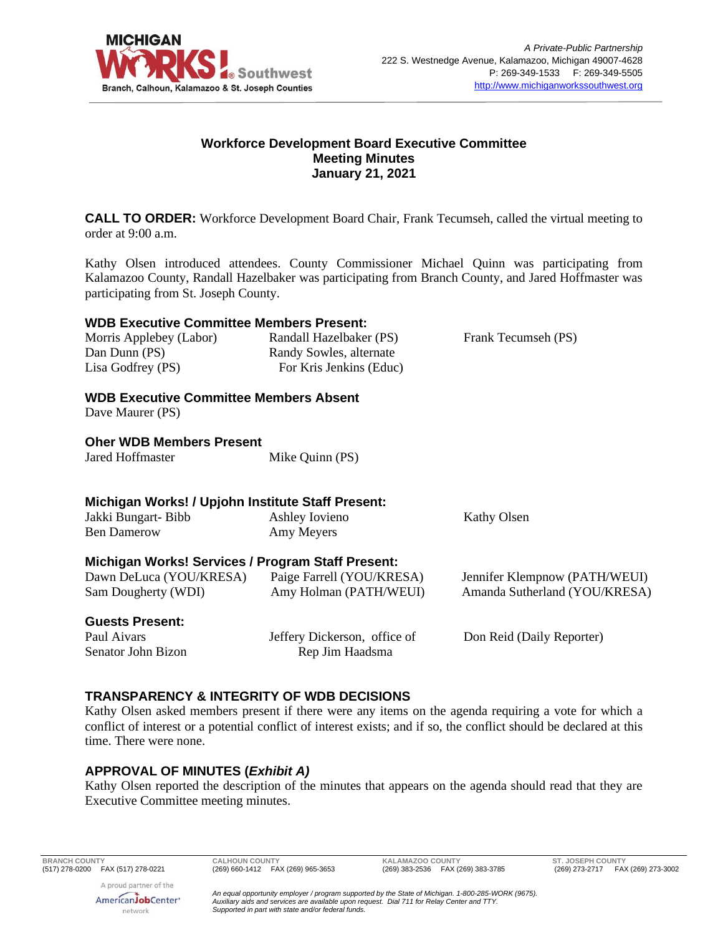

### **Workforce Development Board Executive Committee Meeting Minutes January 21, 2021**

**CALL TO ORDER:** Workforce Development Board Chair, Frank Tecumseh, called the virtual meeting to order at 9:00 a.m.

Kathy Olsen introduced attendees. County Commissioner Michael Quinn was participating from Kalamazoo County, Randall Hazelbaker was participating from Branch County, and Jared Hoffmaster was participating from St. Joseph County.

### **WDB Executive Committee Members Present:**

Morris Applebey (Labor) Dan Dunn (PS) Lisa Godfrey (PS)

Randall Hazelbaker (PS) Randy Sowles, alternate For Kris Jenkins (Educ) Frank Tecumseh (PS)

# **WDB Executive Committee Members Absent**

Dave Maurer (PS)

# **Oher WDB Members Present**

Jared Hoffmaster Mike Quinn (PS)

# **Michigan Works! / Upjohn Institute Staff Present:**

| Paige Farrell (YOU/KRESA)<br>Jennifer Klempnow (PATH/WEUI)<br>Amy Holman (PATH/WEUI)<br>Amanda Sutherland (YOU/KRESA) |
|-----------------------------------------------------------------------------------------------------------------------|
|                                                                                                                       |

**Guests Present:**

Paul Aivars Senator John Bizon Jeffery Dickerson, office of Rep Jim Haadsma

Don Reid (Daily Reporter)

# **TRANSPARENCY & INTEGRITY OF WDB DECISIONS**

Kathy Olsen asked members present if there were any items on the agenda requiring a vote for which a conflict of interest or a potential conflict of interest exists; and if so, the conflict should be declared at this time. There were none.

# **APPROVAL OF MINUTES (***Exhibit A)*

Kathy Olsen reported the description of the minutes that appears on the agenda should read that they are Executive Committee meeting minutes.

**BRANCH COUNTY CALHOUN COUNTY KALAMAZOO COUNTY ST. JOSEPH COUNTY**

A proud partner of the AmericanJobCenter<sup>®</sup> network

(269) 273-2717 FAX (269) 273-3002

*An equal opportunity employer / program supported by the State of Michigan. 1-800-285-WORK (9675). Auxiliary aids and services are available upon request. Dial 711 for Relay Center and TTY. Supported in part with state and/or federal funds.*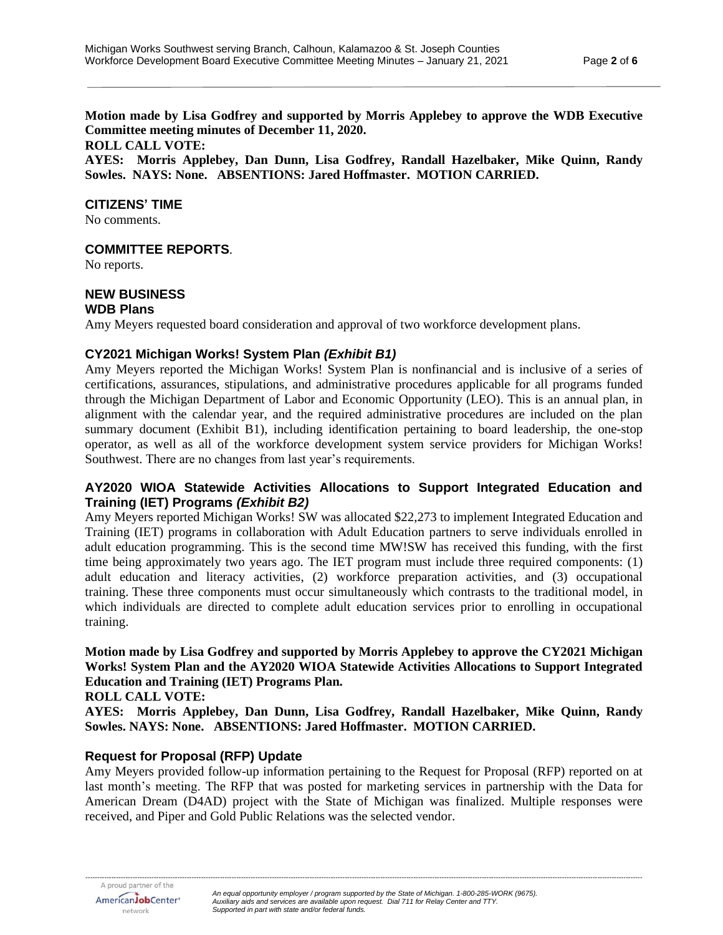**Motion made by Lisa Godfrey and supported by Morris Applebey to approve the WDB Executive Committee meeting minutes of December 11, 2020.** 

#### **ROLL CALL VOTE:**

**AYES: Morris Applebey, Dan Dunn, Lisa Godfrey, Randall Hazelbaker, Mike Quinn, Randy Sowles. NAYS: None. ABSENTIONS: Jared Hoffmaster. MOTION CARRIED.**

#### **CITIZENS' TIME**

No comments.

### **COMMITTEE REPORTS**.

No reports.

# **NEW BUSINESS**

### **WDB Plans**

Amy Meyers requested board consideration and approval of two workforce development plans.

### **CY2021 Michigan Works! System Plan** *(Exhibit B1)*

Amy Meyers reported the Michigan Works! System Plan is nonfinancial and is inclusive of a series of certifications, assurances, stipulations, and administrative procedures applicable for all programs funded through the Michigan Department of Labor and Economic Opportunity (LEO). This is an annual plan, in alignment with the calendar year, and the required administrative procedures are included on the plan summary document (Exhibit B1), including identification pertaining to board leadership, the one-stop operator, as well as all of the workforce development system service providers for Michigan Works! Southwest. There are no changes from last year's requirements.

### **AY2020 WIOA Statewide Activities Allocations to Support Integrated Education and Training (IET) Programs** *(Exhibit B2)*

Amy Meyers reported Michigan Works! SW was allocated \$22,273 to implement Integrated Education and Training (IET) programs in collaboration with Adult Education partners to serve individuals enrolled in adult education programming. This is the second time MW!SW has received this funding, with the first time being approximately two years ago. The IET program must include three required components: (1) adult education and literacy activities, (2) workforce preparation activities, and (3) occupational training. These three components must occur simultaneously which contrasts to the traditional model, in which individuals are directed to complete adult education services prior to enrolling in occupational training.

# **Motion made by Lisa Godfrey and supported by Morris Applebey to approve the CY2021 Michigan Works! System Plan and the AY2020 WIOA Statewide Activities Allocations to Support Integrated Education and Training (IET) Programs Plan.**

#### **ROLL CALL VOTE:**

**AYES: Morris Applebey, Dan Dunn, Lisa Godfrey, Randall Hazelbaker, Mike Quinn, Randy Sowles. NAYS: None. ABSENTIONS: Jared Hoffmaster. MOTION CARRIED.**

### **Request for Proposal (RFP) Update**

Amy Meyers provided follow-up information pertaining to the Request for Proposal (RFP) reported on at last month's meeting. The RFP that was posted for marketing services in partnership with the Data for American Dream (D4AD) project with the State of Michigan was finalized. Multiple responses were received, and Piper and Gold Public Relations was the selected vendor.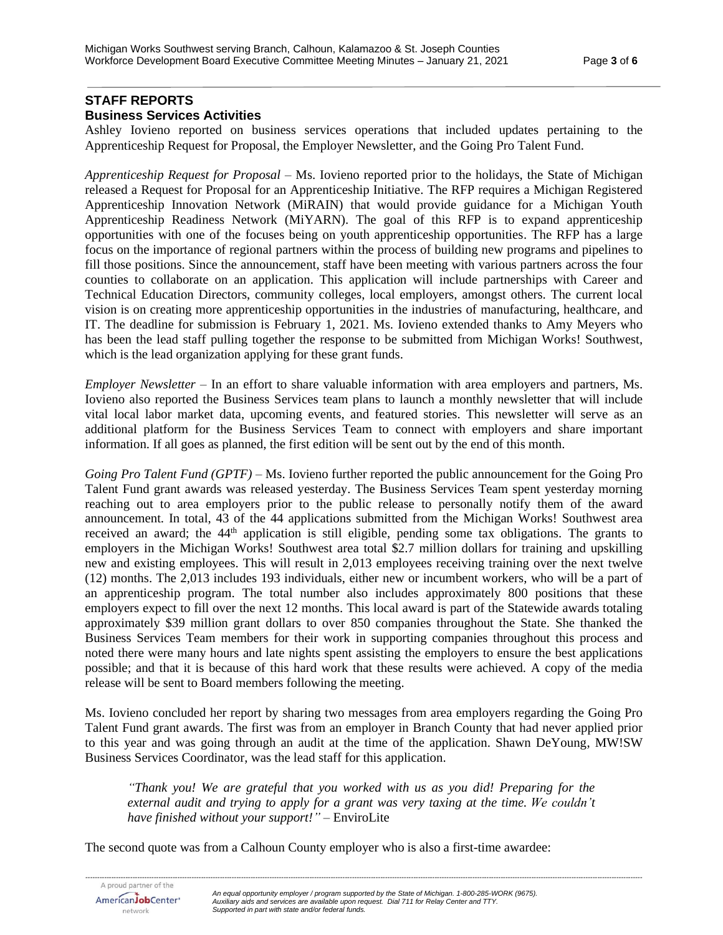# **STAFF REPORTS Business Services Activities**

Ashley Iovieno reported on business services operations that included updates pertaining to the Apprenticeship Request for Proposal, the Employer Newsletter, and the Going Pro Talent Fund.

*Apprenticeship Request for Proposal* – Ms. Iovieno reported prior to the holidays, the State of Michigan released a Request for Proposal for an Apprenticeship Initiative. The RFP requires a Michigan Registered Apprenticeship Innovation Network (MiRAIN) that would provide guidance for a Michigan Youth Apprenticeship Readiness Network (MiYARN). The goal of this RFP is to expand apprenticeship opportunities with one of the focuses being on youth apprenticeship opportunities. The RFP has a large focus on the importance of regional partners within the process of building new programs and pipelines to fill those positions. Since the announcement, staff have been meeting with various partners across the four counties to collaborate on an application. This application will include partnerships with Career and Technical Education Directors, community colleges, local employers, amongst others. The current local vision is on creating more apprenticeship opportunities in the industries of manufacturing, healthcare, and IT. The deadline for submission is February 1, 2021. Ms. Iovieno extended thanks to Amy Meyers who has been the lead staff pulling together the response to be submitted from Michigan Works! Southwest, which is the lead organization applying for these grant funds.

*Employer Newsletter* – In an effort to share valuable information with area employers and partners, Ms. Iovieno also reported the Business Services team plans to launch a monthly newsletter that will include vital local labor market data, upcoming events, and featured stories. This newsletter will serve as an additional platform for the Business Services Team to connect with employers and share important information. If all goes as planned, the first edition will be sent out by the end of this month.

*Going Pro Talent Fund (GPTF)* – Ms. Iovieno further reported the public announcement for the Going Pro Talent Fund grant awards was released yesterday. The Business Services Team spent yesterday morning reaching out to area employers prior to the public release to personally notify them of the award announcement. In total, 43 of the 44 applications submitted from the Michigan Works! Southwest area received an award; the 44<sup>th</sup> application is still eligible, pending some tax obligations. The grants to employers in the Michigan Works! Southwest area total \$2.7 million dollars for training and upskilling new and existing employees. This will result in 2,013 employees receiving training over the next twelve (12) months. The 2,013 includes 193 individuals, either new or incumbent workers, who will be a part of an apprenticeship program. The total number also includes approximately 800 positions that these employers expect to fill over the next 12 months. This local award is part of the Statewide awards totaling approximately \$39 million grant dollars to over 850 companies throughout the State. She thanked the Business Services Team members for their work in supporting companies throughout this process and noted there were many hours and late nights spent assisting the employers to ensure the best applications possible; and that it is because of this hard work that these results were achieved. A copy of the media release will be sent to Board members following the meeting.

Ms. Iovieno concluded her report by sharing two messages from area employers regarding the Going Pro Talent Fund grant awards. The first was from an employer in Branch County that had never applied prior to this year and was going through an audit at the time of the application. Shawn DeYoung, MW!SW Business Services Coordinator, was the lead staff for this application.

*"Thank you! We are grateful that you worked with us as you did! Preparing for the external audit and trying to apply for a grant was very taxing at the time. We couldn't have finished without your support!"* – EnviroLite

The second quote was from a Calhoun County employer who is also a first-time awardee: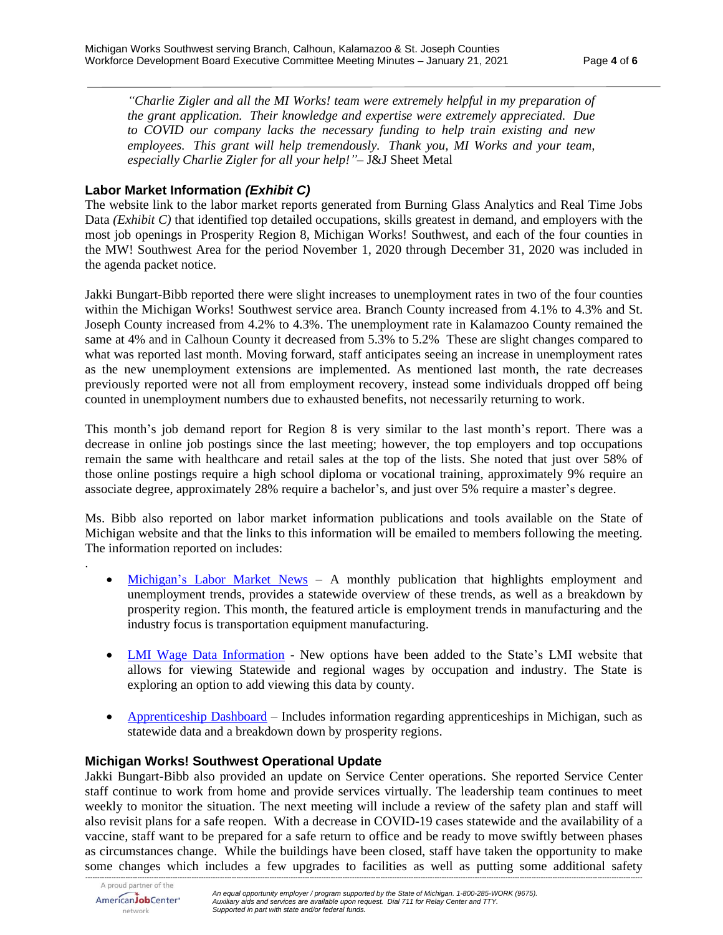*"Charlie Zigler and all the MI Works! team were extremely helpful in my preparation of the grant application. Their knowledge and expertise were extremely appreciated. Due to COVID our company lacks the necessary funding to help train existing and new employees. This grant will help tremendously. Thank you, MI Works and your team, especially Charlie Zigler for all your help!"*– J&J Sheet Metal

### **Labor Market Information** *(Exhibit C)*

The website link to the labor market reports generated from Burning Glass Analytics and Real Time Jobs Data *(Exhibit C)* that identified top detailed occupations, skills greatest in demand, and employers with the most job openings in Prosperity Region 8, Michigan Works! Southwest, and each of the four counties in the MW! Southwest Area for the period November 1, 2020 through December 31, 2020 was included in the agenda packet notice.

Jakki Bungart-Bibb reported there were slight increases to unemployment rates in two of the four counties within the Michigan Works! Southwest service area. Branch County increased from 4.1% to 4.3% and St. Joseph County increased from 4.2% to 4.3%. The unemployment rate in Kalamazoo County remained the same at 4% and in Calhoun County it decreased from 5.3% to 5.2% These are slight changes compared to what was reported last month. Moving forward, staff anticipates seeing an increase in unemployment rates as the new unemployment extensions are implemented. As mentioned last month, the rate decreases previously reported were not all from employment recovery, instead some individuals dropped off being counted in unemployment numbers due to exhausted benefits, not necessarily returning to work.

This month's job demand report for Region 8 is very similar to the last month's report. There was a decrease in online job postings since the last meeting; however, the top employers and top occupations remain the same with healthcare and retail sales at the top of the lists. She noted that just over 58% of those online postings require a high school diploma or vocational training, approximately 9% require an associate degree, approximately 28% require a bachelor's, and just over 5% require a master's degree.

Ms. Bibb also reported on labor market information publications and tools available on the State of Michigan website and that the links to this information will be emailed to members following the meeting. The information reported on includes:

- [Michigan's Labor Market News](https://milmi.org/Portals/198/publications/News/LMN/LMN_0121.pdf?ver=2021-01-05-143912-037) A monthly publication that highlights employment and unemployment trends, provides a statewide overview of these trends, as well as a breakdown by prosperity region. This month, the featured article is employment trends in manufacturing and the industry focus is transportation equipment manufacturing.
- [LMI Wage Data Information](https://milmi.org/DataSearch/QCEW) New options have been added to the State's LMI website that allows for viewing Statewide and regional wages by occupation and industry. The State is exploring an option to add viewing this data by county.
- [Apprenticeship Dashboard](https://app.powerbigov.us/view?r=eyJrIjoiY2Y5YWU2NzYtMWZiNy00MDM4LTk3OTAtMmFiN2I1NWNiOGM5IiwidCI6ImQ1ZmI3MDg3LTM3NzctNDJhZC05NjZhLTg5MmVmNDcyMjVkMSJ9) Includes information regarding apprenticeships in Michigan, such as statewide data and a breakdown down by prosperity regions.

### **Michigan Works! Southwest Operational Update**

Jakki Bungart-Bibb also provided an update on Service Center operations. She reported Service Center staff continue to work from home and provide services virtually. The leadership team continues to meet weekly to monitor the situation. The next meeting will include a review of the safety plan and staff will also revisit plans for a safe reopen. With a decrease in COVID-19 cases statewide and the availability of a vaccine, staff want to be prepared for a safe return to office and be ready to move swiftly between phases as circumstances change. While the buildings have been closed, staff have taken the opportunity to make some changes which includes a few upgrades to facilities as well as putting some additional safety

*--------------------------------------------------------------------------------------------------------------------------------------------------------------------------------------------------------------------------------------------*

.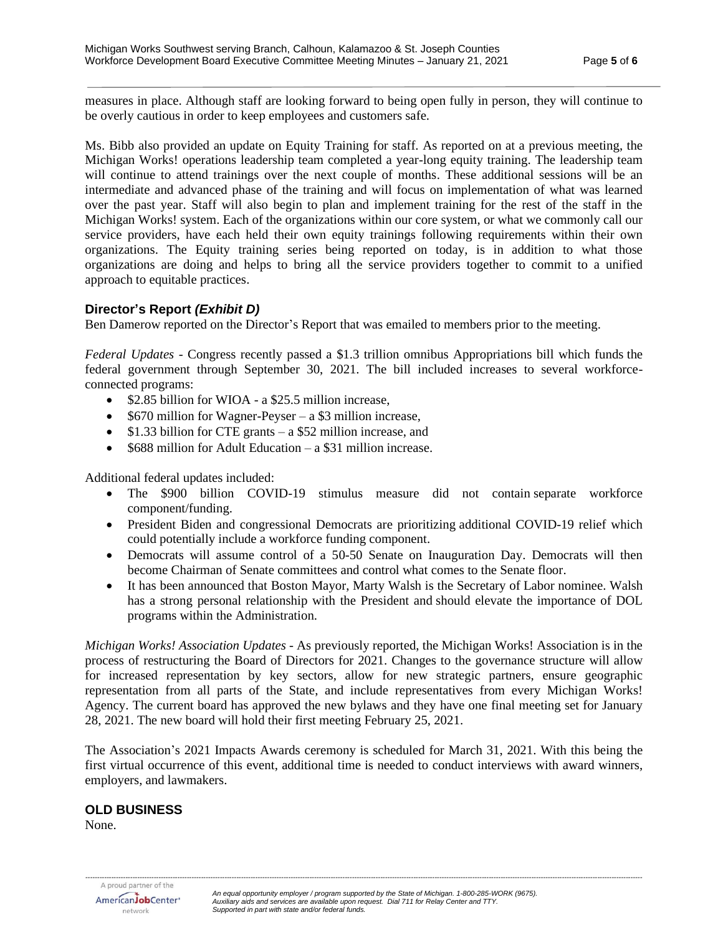measures in place. Although staff are looking forward to being open fully in person, they will continue to be overly cautious in order to keep employees and customers safe.

Ms. Bibb also provided an update on Equity Training for staff. As reported on at a previous meeting, the Michigan Works! operations leadership team completed a year-long equity training. The leadership team will continue to attend trainings over the next couple of months. These additional sessions will be an intermediate and advanced phase of the training and will focus on implementation of what was learned over the past year. Staff will also begin to plan and implement training for the rest of the staff in the Michigan Works! system. Each of the organizations within our core system, or what we commonly call our service providers, have each held their own equity trainings following requirements within their own organizations. The Equity training series being reported on today, is in addition to what those organizations are doing and helps to bring all the service providers together to commit to a unified approach to equitable practices.

### **Director's Report** *(Exhibit D)*

Ben Damerow reported on the Director's Report that was emailed to members prior to the meeting.

*Federal Updates* - Congress recently passed a \$1.3 trillion omnibus Appropriations bill which funds the federal government through September 30, 2021. The bill included increases to several workforceconnected programs:

- \$2.85 billion for WIOA a \$25.5 million increase,
- \$670 million for Wagner-Peyser a \$3 million increase,
- \$1.33 billion for CTE grants a \$52 million increase, and
- \$688 million for Adult Education a \$31 million increase.

Additional federal updates included:

- The \$900 billion COVID-19 stimulus measure did not contain separate workforce component/funding.
- President Biden and congressional Democrats are prioritizing additional COVID-19 relief which could potentially include a workforce funding component.
- Democrats will assume control of a 50-50 Senate on Inauguration Day. Democrats will then become Chairman of Senate committees and control what comes to the Senate floor.
- It has been announced that Boston Mayor, Marty Walsh is the Secretary of Labor nominee. Walsh has a strong personal relationship with the President and should elevate the importance of DOL programs within the Administration.

*Michigan Works! Association Updates* - As previously reported, the Michigan Works! Association is in the process of restructuring the Board of Directors for 2021. Changes to the governance structure will allow for increased representation by key sectors, allow for new strategic partners, ensure geographic representation from all parts of the State, and include representatives from every Michigan Works! Agency. The current board has approved the new bylaws and they have one final meeting set for January 28, 2021. The new board will hold their first meeting February 25, 2021.

The Association's 2021 Impacts Awards ceremony is scheduled for March 31, 2021. With this being the first virtual occurrence of this event, additional time is needed to conduct interviews with award winners, employers, and lawmakers.

# **OLD BUSINESS**

None.